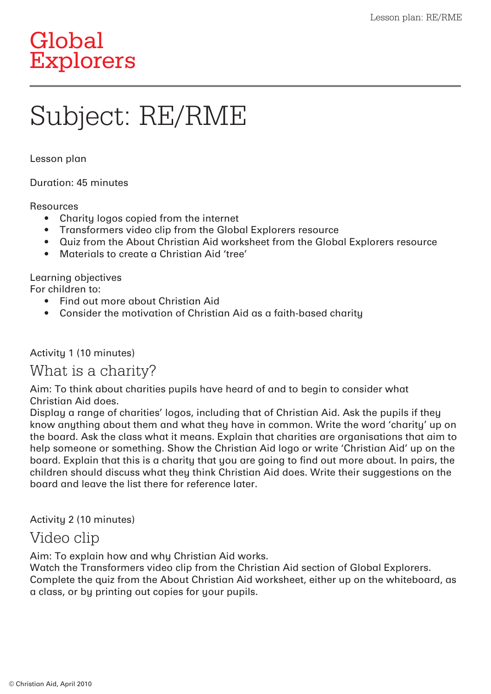# Global Explorers

# Subject: RE/RME

Lesson plan

Duration: 45 minutes

#### Resources

- Charity logos copied from the internet
- Transformers video clip from the Global Explorers resource
- Quiz from the About Christian Aid worksheet from the Global Explorers resource
- Materials to create a Christian Aid 'tree'

Learning objectives For children to:

- Find out more about Christian Aid
- Consider the motivation of Christian Aid as a faith-based charity

Activity 1 (10 minutes)

#### What is a charity?

Aim: To think about charities pupils have heard of and to begin to consider what Christian Aid does.

Display a range of charities' logos, including that of Christian Aid. Ask the pupils if they know anything about them and what they have in common. Write the word 'charity' up on the board. Ask the class what it means. Explain that charities are organisations that aim to help someone or something. Show the Christian Aid logo or write 'Christian Aid' up on the board. Explain that this is a charity that you are going to find out more about. In pairs, the children should discuss what they think Christian Aid does. Write their suggestions on the board and leave the list there for reference later.

Activity 2 (10 minutes)

## Video clip

Aim: To explain how and why Christian Aid works.

Watch the Transformers video clip from the Christian Aid section of Global Explorers. Complete the quiz from the About Christian Aid worksheet, either up on the whiteboard, as a class, or by printing out copies for your pupils.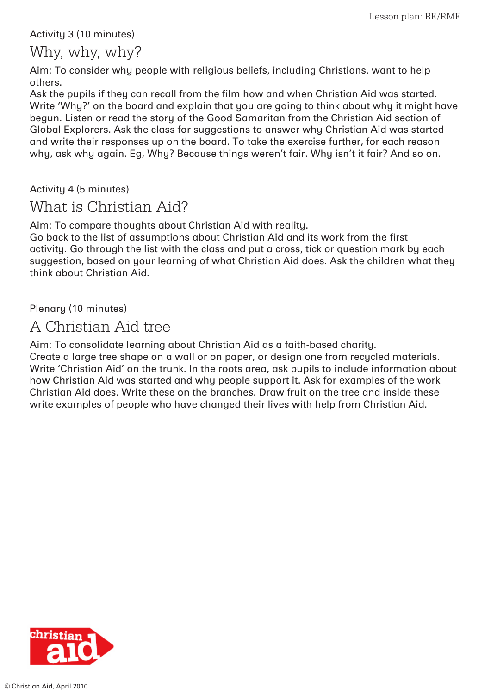#### Activity 3 (10 minutes)

### Why, why, why?

Aim: To consider why people with religious beliefs, including Christians, want to help others.

Ask the pupils if they can recall from the film how and when Christian Aid was started. Write 'Why?' on the board and explain that you are going to think about why it might have begun. Listen or read the story of the Good Samaritan from the Christian Aid section of Global Explorers. Ask the class for suggestions to answer why Christian Aid was started and write their responses up on the board. To take the exercise further, for each reason why, ask why again. Eg, Why? Because things weren't fair. Why isn't it fair? And so on.

Activity 4 (5 minutes)

## What is Christian Aid?

Aim: To compare thoughts about Christian Aid with reality.

Go back to the list of assumptions about Christian Aid and its work from the first activity. Go through the list with the class and put a cross, tick or question mark by each suggestion, based on your learning of what Christian Aid does. Ask the children what they think about Christian Aid.

Plenary (10 minutes)

## A Christian Aid tree

Aim: To consolidate learning about Christian Aid as a faith-based charity. Create a large tree shape on a wall or on paper, or design one from recycled materials. Write 'Christian Aid' on the trunk. In the roots area, ask pupils to include information about how Christian Aid was started and why people support it. Ask for examples of the work Christian Aid does. Write these on the branches. Draw fruit on the tree and inside these write examples of people who have changed their lives with help from Christian Aid.

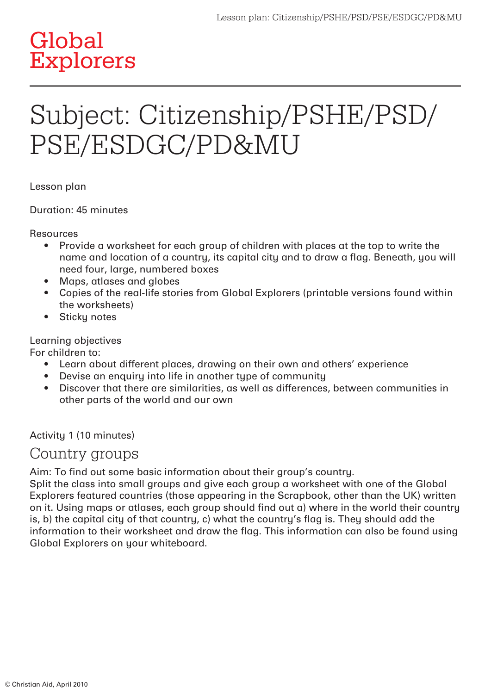# **Global** Explorers

# Subject: Citizenship/PSHE/PSD/ PSE/ESDGC/PD&MU

Lesson plan

Duration: 45 minutes

Resources

- Provide a worksheet for each group of children with places at the top to write the name and location of a country, its capital city and to draw a flag. Beneath, you will need four, large, numbered boxes
- Maps, atlases and globes
- Copies of the real-life stories from Global Explorers (printable versions found within the worksheets)
- Sticku notes

Learning objectives

For children to:

- Learn about different places, drawing on their own and others' experience
- Devise an enquiru into life in another tupe of communitu
- Discover that there are similarities, as well as differences, between communities in other parts of the world and our own

Activity 1 (10 minutes)

#### Country groups

Aim: To find out some basic information about their group's country.

Split the class into small groups and give each group a worksheet with one of the Global Explorers featured countries (those appearing in the Scrapbook, other than the UK) written on it. Using maps or atlases, each group should find out a) where in the world their country is, b) the capital city of that country, c) what the country's flag is. They should add the information to their worksheet and draw the flag. This information can also be found using Global Explorers on your whiteboard.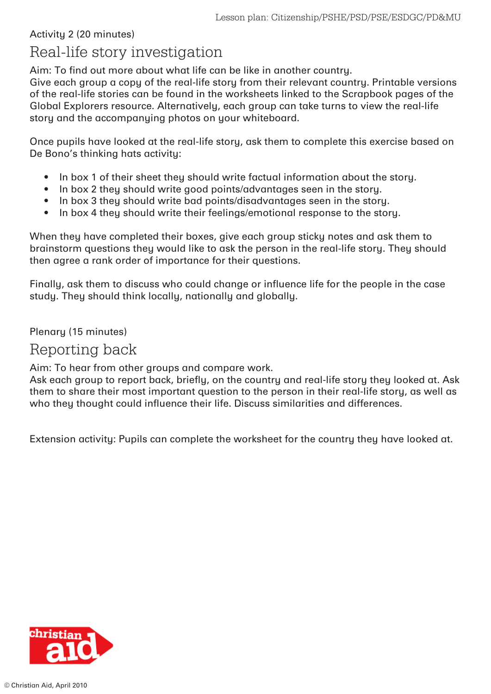#### Activity 2 (20 minutes)

# Real-life story investigation

Aim: To find out more about what life can be like in another country.

Give each group a copy of the real-life story from their relevant country. Printable versions of the real-life stories can be found in the worksheets linked to the Scrapbook pages of the Global Explorers resource. Alternatively, each group can take turns to view the real-life story and the accompanying photos on your whiteboard.

Once pupils have looked at the real-life story, ask them to complete this exercise based on De Bono's thinking hats activity:

- In box 1 of their sheet they should write factual information about the story.
- In box 2 they should write good points/advantages seen in the story.
- In box 3 they should write bad points/disadvantages seen in the story.
- In box 4 they should write their feelings/emotional response to the story.

When they have completed their boxes, give each group sticky notes and ask them to brainstorm questions they would like to ask the person in the real-life story. They should then agree a rank order of importance for their questions.

Finally, ask them to discuss who could change or influence life for the people in the case study. They should think locally, nationally and globally.

Plenary (15 minutes)

## Reporting back

Aim: To hear from other groups and compare work.

Ask each group to report back, briefly, on the country and real-life story they looked at. Ask them to share their most important question to the person in their real-life story, as well as who they thought could influence their life. Discuss similarities and differences.

Extension activity: Pupils can complete the worksheet for the country they have looked at.

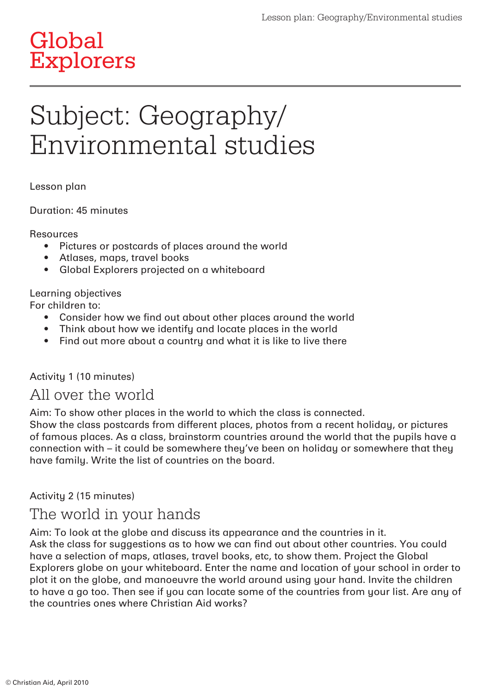# Global Explorers

# Subject: Geography/ Environmental studies

Lesson plan

Duration: 45 minutes

Resources

- Pictures or postcards of places around the world
- Atlases, maps, travel books
- Global Explorers projected on a whiteboard

Learning objectives

For children to:

- Consider how we find out about other places around the world
- Think about how we identify and locate places in the world
- Find out more about a countru and what it is like to live there

#### Activity 1 (10 minutes)

## All over the world

Aim: To show other places in the world to which the class is connected.

Show the class postcards from different places, photos from a recent holiday, or pictures of famous places. As a class, brainstorm countries around the world that the pupils have a connection with – it could be somewhere they've been on holiday or somewhere that they have family. Write the list of countries on the board.

Activity 2 (15 minutes)

# The world in your hands

Aim: To look at the globe and discuss its appearance and the countries in it. Ask the class for suggestions as to how we can find out about other countries. You could have a selection of maps, atlases, travel books, etc, to show them. Project the Global Explorers globe on your whiteboard. Enter the name and location of your school in order to plot it on the globe, and manoeuvre the world around using your hand. Invite the children to have a go too. Then see if you can locate some of the countries from your list. Are any of the countries ones where Christian Aid works?